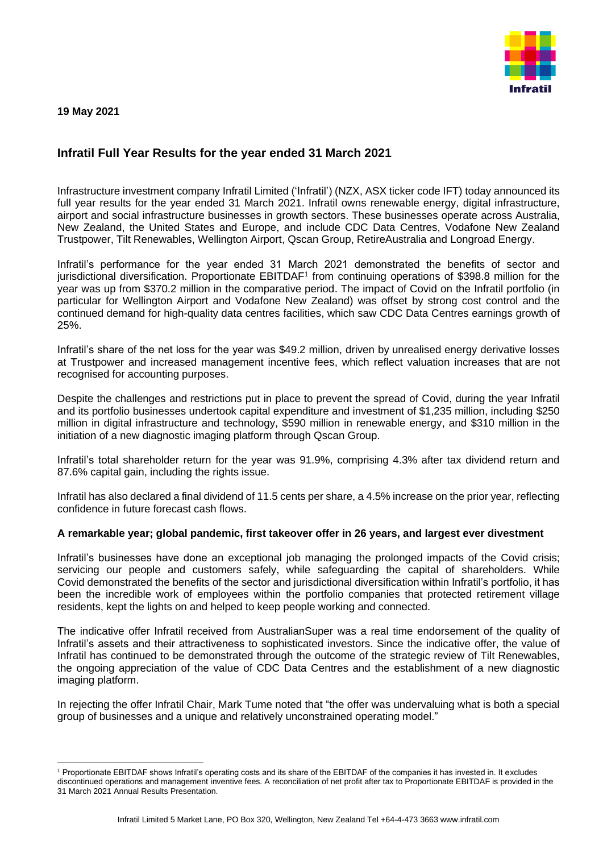**19 May 2021**



# **Infratil Full Year Results for the year ended 31 March 2021**

Infrastructure investment company Infratil Limited ('Infratil') (NZX, ASX ticker code IFT) today announced its full year results for the year ended 31 March 2021. Infratil owns renewable energy, digital infrastructure, airport and social infrastructure businesses in growth sectors. These businesses operate across Australia, New Zealand, the United States and Europe, and include CDC Data Centres, Vodafone New Zealand Trustpower, Tilt Renewables, Wellington Airport, Qscan Group, RetireAustralia and Longroad Energy.

Infratil's performance for the year ended 31 March 2021 demonstrated the benefits of sector and jurisdictional diversification. Proportionate EBITDAF<sup>1</sup> from continuing operations of \$398.8 million for the year was up from \$370.2 million in the comparative period. The impact of Covid on the Infratil portfolio (in particular for Wellington Airport and Vodafone New Zealand) was offset by strong cost control and the continued demand for high-quality data centres facilities, which saw CDC Data Centres earnings growth of 25%.

Infratil's share of the net loss for the year was \$49.2 million, driven by unrealised energy derivative losses at Trustpower and increased management incentive fees, which reflect valuation increases that are not recognised for accounting purposes.

Despite the challenges and restrictions put in place to prevent the spread of Covid, during the year Infratil and its portfolio businesses undertook capital expenditure and investment of \$1,235 million, including \$250 million in digital infrastructure and technology, \$590 million in renewable energy, and \$310 million in the initiation of a new diagnostic imaging platform through Qscan Group.

Infratil's total shareholder return for the year was 91.9%, comprising 4.3% after tax dividend return and 87.6% capital gain, including the rights issue.

Infratil has also declared a final dividend of 11.5 cents per share, a 4.5% increase on the prior year, reflecting confidence in future forecast cash flows.

# **A remarkable year; global pandemic, first takeover offer in 26 years, and largest ever divestment**

Infratil's businesses have done an exceptional job managing the prolonged impacts of the Covid crisis; servicing our people and customers safely, while safeguarding the capital of shareholders. While Covid demonstrated the benefits of the sector and jurisdictional diversification within Infratil's portfolio, it has been the incredible work of employees within the portfolio companies that protected retirement village residents, kept the lights on and helped to keep people working and connected.

The indicative offer Infratil received from AustralianSuper was a real time endorsement of the quality of Infratil's assets and their attractiveness to sophisticated investors. Since the indicative offer, the value of Infratil has continued to be demonstrated through the outcome of the strategic review of Tilt Renewables, the ongoing appreciation of the value of CDC Data Centres and the establishment of a new diagnostic imaging platform.

In rejecting the offer Infratil Chair, Mark Tume noted that "the offer was undervaluing what is both a special group of businesses and a unique and relatively unconstrained operating model."

<sup>1</sup> Proportionate EBITDAF shows Infratil's operating costs and its share of the EBITDAF of the companies it has invested in. It excludes discontinued operations and management inventive fees. A reconciliation of net profit after tax to Proportionate EBITDAF is provided in the 31 March 2021 Annual Results Presentation.